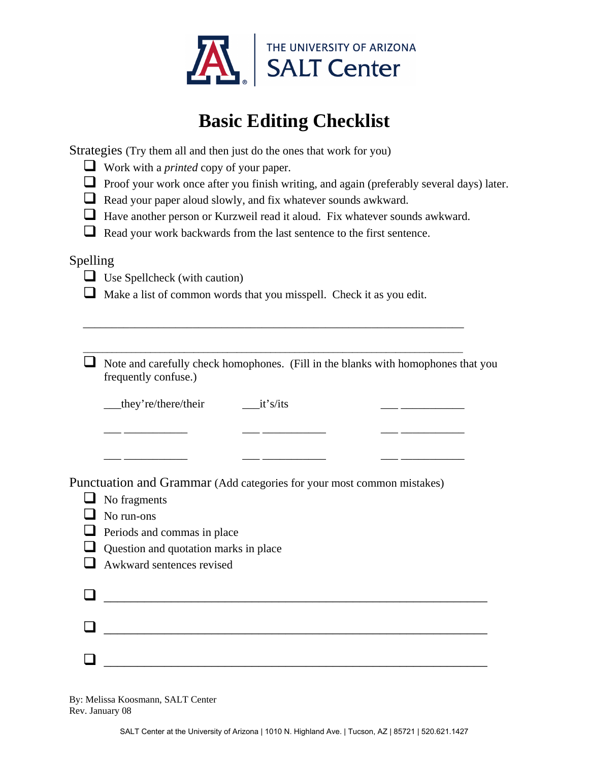

## **Basic Editing Checklist**

Strategies (Try them all and then just do the ones that work for you)

- Work with a *printed* copy of your paper.
- **Proof your work once after you finish writing, and again (preferably several days) later.**
- Read your paper aloud slowly, and fix whatever sounds awkward.
- Have another person or Kurzweil read it aloud. Fix whatever sounds awkward.
- Read your work backwards from the last sentence to the first sentence.

## Spelling

- $\Box$  Use Spellcheck (with caution)
- $\Box$  Make a list of common words that you misspell. Check it as you edit.

\_\_\_\_\_\_\_\_\_\_\_\_\_\_\_\_\_\_\_\_\_\_\_\_\_\_\_\_\_\_\_\_\_\_\_\_\_\_\_\_\_\_\_\_\_\_\_\_\_\_\_\_\_\_\_\_\_\_\_\_\_\_\_\_\_\_

\_\_\_\_\_\_\_\_\_\_\_\_\_\_\_\_\_\_\_\_\_\_\_\_\_\_\_\_\_\_\_\_\_\_\_\_\_\_\_\_\_\_\_\_\_\_\_\_\_\_\_\_\_\_\_\_\_\_\_\_\_\_\_\_\_\_\_\_\_\_\_\_\_\_\_\_\_\_\_

 $\Box$  Note and carefully check homophones. (Fill in the blanks with homophones that you frequently confuse.)

\_\_\_ \_\_\_\_\_\_\_\_\_\_\_ \_\_\_ \_\_\_\_\_\_\_\_\_\_\_ \_\_\_ \_\_\_\_\_\_\_\_\_\_\_

 $\frac{1}{\sqrt{2}}$  ,  $\frac{1}{\sqrt{2}}$  ,  $\frac{1}{\sqrt{2}}$  ,  $\frac{1}{\sqrt{2}}$  ,  $\frac{1}{\sqrt{2}}$  ,  $\frac{1}{\sqrt{2}}$  ,  $\frac{1}{\sqrt{2}}$  ,  $\frac{1}{\sqrt{2}}$  ,  $\frac{1}{\sqrt{2}}$  ,  $\frac{1}{\sqrt{2}}$  ,  $\frac{1}{\sqrt{2}}$  ,  $\frac{1}{\sqrt{2}}$  ,  $\frac{1}{\sqrt{2}}$  ,  $\frac{1}{\sqrt{2}}$  ,  $\frac{1}{\sqrt{2}}$ 

\_\_\_they're/there/their \_\_\_it's/its \_\_\_ \_\_\_\_\_\_\_\_\_\_\_

Punctuation and Grammar (Add categories for your most common mistakes)

- $\Box$  No fragments
- $\Box$  No run-ons
- $\Box$  Periods and commas in place
- $\Box$  Question and quotation marks in place
- **Awkward sentences revised**

 $\Box$  , and the contract of the contract of the contract of the contract of the contract of the contract of the contract of the contract of the contract of the contract of the contract of the contract of the contract of th  $\Box$  , and the contract of the contract of the contract of the contract of the contract of the contract of the contract of the contract of the contract of the contract of the contract of the contract of the contract of th  $\Box$ 

By: Melissa Koosmann, SALT Center Rev. January 08